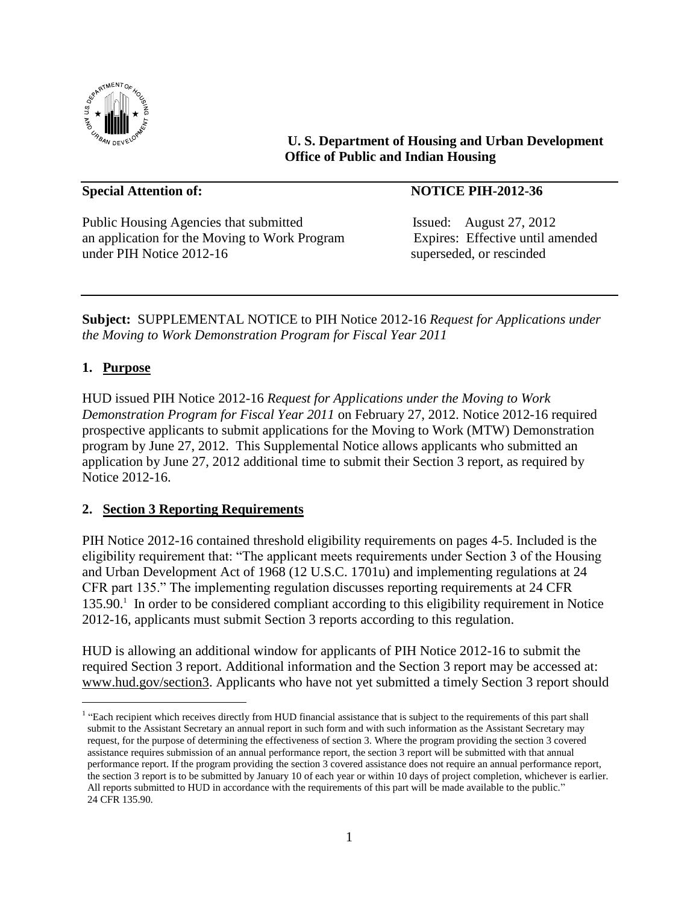

**U. S. Department of Housing and Urban Development Office of Public and Indian Housing**

Public Housing Agencies that submitted Issued: August 27, 2012 an application for the Moving to Work Program Expires: Effective until amended under PIH Notice 2012-16 superseded, or rescinded

## **Special Attention of:** NOTICE PIH-2012-36

**Subject:** SUPPLEMENTAL NOTICE to PIH Notice 2012-16 *Request for Applications under the Moving to Work Demonstration Program for Fiscal Year 2011*

## **1. Purpose**

L,

HUD issued PIH Notice 2012-16 *Request for Applications under the Moving to Work Demonstration Program for Fiscal Year 2011* on February 27, 2012. Notice 2012-16 required prospective applicants to submit applications for the Moving to Work (MTW) Demonstration program by June 27, 2012. This Supplemental Notice allows applicants who submitted an application by June 27, 2012 additional time to submit their Section 3 report, as required by Notice 2012-16.

### **2. Section 3 Reporting Requirements**

PIH Notice 2012-16 contained threshold eligibility requirements on pages 4-5. Included is the eligibility requirement that: "The applicant meets requirements under Section 3 of the Housing and Urban Development Act of 1968 (12 U.S.C. 1701u) and implementing regulations at 24 CFR part 135." The implementing regulation discusses reporting requirements at 24 CFR 135.90.<sup>1</sup> In order to be considered compliant according to this eligibility requirement in Notice 2012-16, applicants must submit Section 3 reports according to this regulation.

HUD is allowing an additional window for applicants of PIH Notice 2012-16 to submit the required Section 3 report. Additional information and the Section 3 report may be accessed at: [www.hud.gov/section3.](http://www.hud.gov/section3) Applicants who have not yet submitted a timely Section 3 report should

<sup>&</sup>lt;sup>1</sup> "Each recipient which receives directly from HUD financial assistance that is subject to the requirements of this part shall submit to the Assistant Secretary an annual report in such form and with such information as the Assistant Secretary may request, for the purpose of determining the effectiveness of section 3. Where the program providing the section 3 covered assistance requires submission of an annual performance report, the section 3 report will be submitted with that annual performance report. If the program providing the section 3 covered assistance does not require an annual performance report, the section 3 report is to be submitted by January 10 of each year or within 10 days of project completion, whichever is earlier. All reports submitted to HUD in accordance with the requirements of this part will be made available to the public." 24 CFR 135.90.